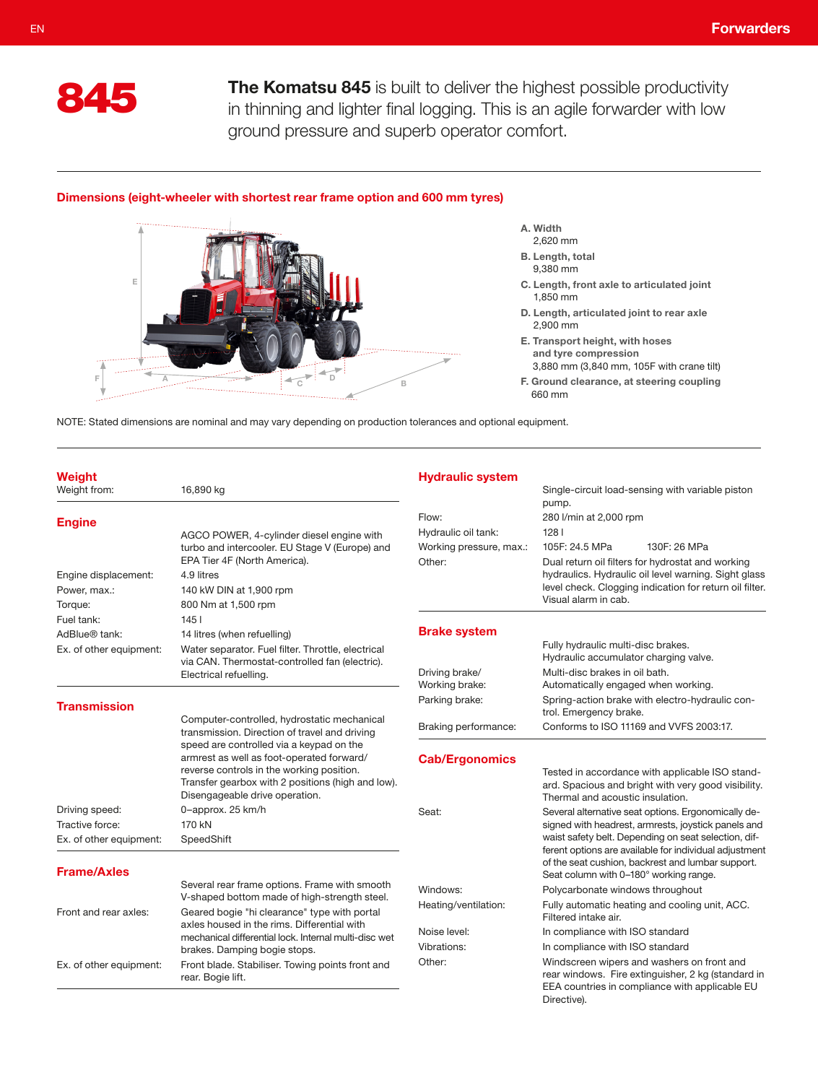

The Komatsu 845 is built to deliver the highest possible productivity in thinning and lighter final logging. This is an agile forwarder with low ground pressure and superb operator comfort.

## Dimensions (eight-wheeler with shortest rear frame option and 600 mm tyres)



- A. Width
- 2,620 mm B. Length, total
- 9,380 mm
- C. Length, front axle to articulated joint 1,850 mm
- D. Length, articulated joint to rear axle 2,900 mm
- E. Transport height, with hoses and tyre compression 3,880 mm (3,840 mm, 105F with crane tilt)
- F. Ground clearance, at steering coupling 660 mm

NOTE: Stated dimensions are nominal and may vary depending on production tolerances and optional equipment.

| Weight<br>Weight from:                        | 16,890 kg                                                                                                                                                                                                                 | <b>Hydraulic system</b>           | Single-circuit load-sensing with variable piston                                                                                                                                                              |
|-----------------------------------------------|---------------------------------------------------------------------------------------------------------------------------------------------------------------------------------------------------------------------------|-----------------------------------|---------------------------------------------------------------------------------------------------------------------------------------------------------------------------------------------------------------|
| <b>Engine</b>                                 | AGCO POWER, 4-cylinder diesel engine with                                                                                                                                                                                 | Flow:<br>Hydraulic oil tank:      | pump.<br>280 l/min at 2,000 rpm<br>1281                                                                                                                                                                       |
|                                               | turbo and intercooler. EU Stage V (Europe) and<br>EPA Tier 4F (North America).                                                                                                                                            | Working pressure, max.:<br>Other: | 105F: 24.5 MPa<br>130F: 26 MPa<br>Dual return oil filters for hydrostat and working                                                                                                                           |
| Engine displacement:                          | 4.9 litres                                                                                                                                                                                                                |                                   | hydraulics. Hydraulic oil level warning. Sight glass                                                                                                                                                          |
| Power, max.:                                  | 140 kW DIN at 1,900 rpm                                                                                                                                                                                                   |                                   | level check. Clogging indication for return oil filter.                                                                                                                                                       |
| Torque:                                       | 800 Nm at 1,500 rpm                                                                                                                                                                                                       |                                   | Visual alarm in cab.                                                                                                                                                                                          |
| Fuel tank:                                    | 1451                                                                                                                                                                                                                      |                                   |                                                                                                                                                                                                               |
| AdBlue® tank:                                 | 14 litres (when refuelling)                                                                                                                                                                                               | <b>Brake system</b>               |                                                                                                                                                                                                               |
| Ex. of other equipment:                       | Water separator. Fuel filter. Throttle, electrical                                                                                                                                                                        |                                   | Fully hydraulic multi-disc brakes.<br>Hydraulic accumulator charging valve.                                                                                                                                   |
|                                               | via CAN. Thermostat-controlled fan (electric).<br>Electrical refuelling.                                                                                                                                                  | Driving brake/<br>Working brake:  | Multi-disc brakes in oil bath.<br>Automatically engaged when working.                                                                                                                                         |
| <b>Transmission</b>                           |                                                                                                                                                                                                                           | Parking brake:                    | Spring-action brake with electro-hydraulic con-<br>trol. Emergency brake.                                                                                                                                     |
|                                               | Computer-controlled, hydrostatic mechanical<br>transmission. Direction of travel and driving                                                                                                                              | Braking performance:              | Conforms to ISO 11169 and VVFS 2003:17.                                                                                                                                                                       |
|                                               | speed are controlled via a keypad on the<br>armrest as well as foot-operated forward/<br>reverse controls in the working position.<br>Transfer gearbox with 2 positions (high and low).<br>Disengageable drive operation. | <b>Cab/Ergonomics</b>             | Tested in accordance with applicable ISO stand-<br>ard. Spacious and bright with very good visibility.<br>Thermal and acoustic insulation.                                                                    |
| Driving speed:                                | 0-approx. 25 km/h                                                                                                                                                                                                         | Seat:                             | Several alternative seat options. Ergonomically de-                                                                                                                                                           |
| Tractive force:                               | 170 kN                                                                                                                                                                                                                    |                                   | signed with headrest, armrests, joystick panels and                                                                                                                                                           |
| Ex. of other equipment:<br><b>Frame/Axles</b> | SpeedShift                                                                                                                                                                                                                |                                   | waist safety belt. Depending on seat selection, dif-<br>ferent options are available for individual adjustment<br>of the seat cushion, backrest and lumbar support.<br>Seat column with 0-180° working range. |
|                                               | Several rear frame options. Frame with smooth                                                                                                                                                                             | Windows:                          | Polycarbonate windows throughout                                                                                                                                                                              |
| Front and rear axles:                         | V-shaped bottom made of high-strength steel.<br>Geared bogie "hi clearance" type with portal                                                                                                                              | Heating/ventilation:              | Fully automatic heating and cooling unit, ACC.<br>Filtered intake air.                                                                                                                                        |
|                                               | axles housed in the rims. Differential with<br>mechanical differential lock. Internal multi-disc wet                                                                                                                      | Noise level:                      | In compliance with ISO standard                                                                                                                                                                               |
|                                               | brakes. Damping bogie stops.                                                                                                                                                                                              | Vibrations:                       | In compliance with ISO standard                                                                                                                                                                               |
| Ex. of other equipment:                       | Front blade. Stabiliser. Towing points front and<br>rear. Bogie lift.                                                                                                                                                     | Other:                            | Windscreen wipers and washers on front and<br>rear windows. Fire extinguisher, 2 kg (standard in<br>EEA countries in compliance with applicable EU<br>Directive).                                             |